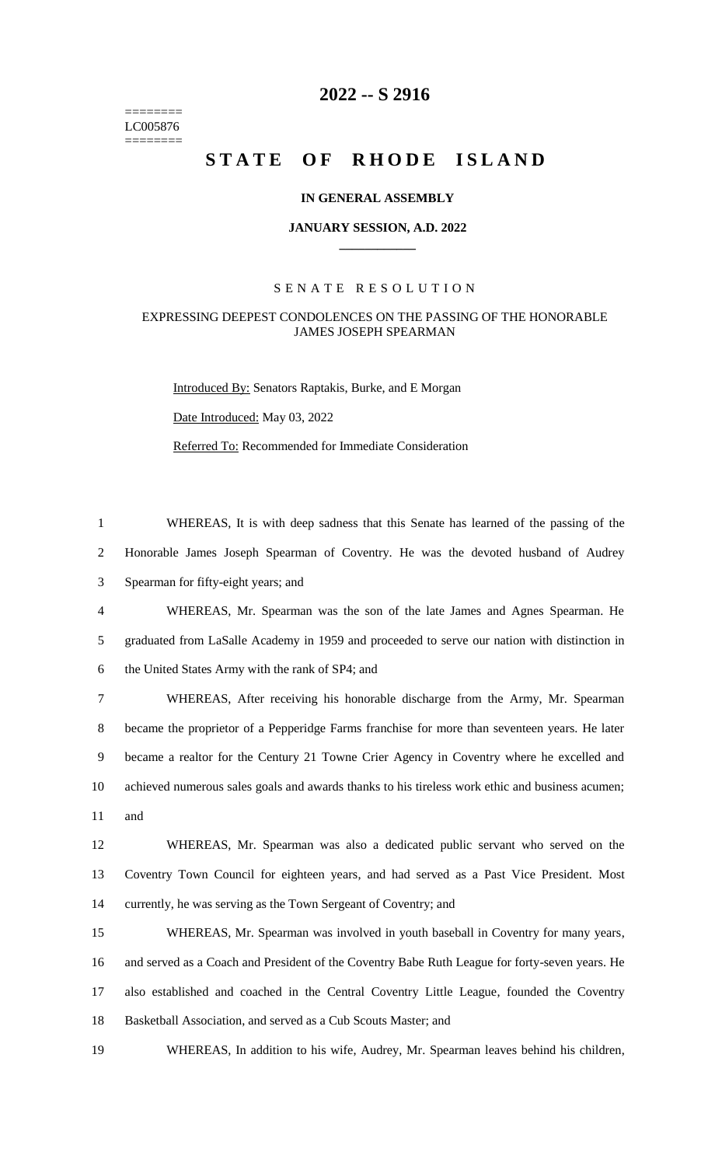======== LC005876 ========

# **-- S 2916**

# STATE OF RHODE ISLAND

### **IN GENERAL ASSEMBLY**

#### **JANUARY SESSION, A.D. 2022 \_\_\_\_\_\_\_\_\_\_\_\_**

#### S E N A T E R E S O L U T I O N

## EXPRESSING DEEPEST CONDOLENCES ON THE PASSING OF THE HONORABLE JAMES JOSEPH SPEARMAN

Introduced By: Senators Raptakis, Burke, and E Morgan Date Introduced: May 03, 2022 Referred To: Recommended for Immediate Consideration

 WHEREAS, It is with deep sadness that this Senate has learned of the passing of the Honorable James Joseph Spearman of Coventry. He was the devoted husband of Audrey Spearman for fifty-eight years; and

 WHEREAS, Mr. Spearman was the son of the late James and Agnes Spearman. He graduated from LaSalle Academy in 1959 and proceeded to serve our nation with distinction in the United States Army with the rank of SP4; and

 WHEREAS, After receiving his honorable discharge from the Army, Mr. Spearman became the proprietor of a Pepperidge Farms franchise for more than seventeen years. He later became a realtor for the Century 21 Towne Crier Agency in Coventry where he excelled and achieved numerous sales goals and awards thanks to his tireless work ethic and business acumen; and

 WHEREAS, Mr. Spearman was also a dedicated public servant who served on the Coventry Town Council for eighteen years, and had served as a Past Vice President. Most currently, he was serving as the Town Sergeant of Coventry; and

 WHEREAS, Mr. Spearman was involved in youth baseball in Coventry for many years, and served as a Coach and President of the Coventry Babe Ruth League for forty-seven years. He also established and coached in the Central Coventry Little League, founded the Coventry Basketball Association, and served as a Cub Scouts Master; and

WHEREAS, In addition to his wife, Audrey, Mr. Spearman leaves behind his children,